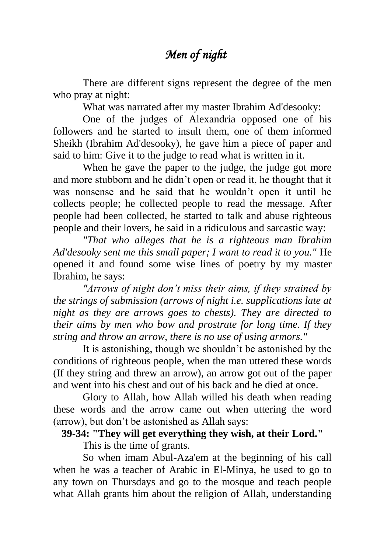## *Men of night*

There are different signs represent the degree of the men who pray at night:

What was narrated after my master Ibrahim Ad'desooky:

One of the judges of Alexandria opposed one of his followers and he started to insult them, one of them informed Sheikh (Ibrahim Ad'desooky), he gave him a piece of paper and said to him: Give it to the judge to read what is written in it.

When he gave the paper to the judge, the judge got more and more stubborn and he didn't open or read it, he thought that it was nonsense and he said that he wouldn't open it until he collects people; he collected people to read the message. After people had been collected, he started to talk and abuse righteous people and their lovers, he said in a ridiculous and sarcastic way:

*"That who alleges that he is a righteous man Ibrahim Ad'desooky sent me this small paper; I want to read it to you."* He opened it and found some wise lines of poetry by my master Ibrahim, he says:

*"Arrows of night don't miss their aims, if they strained by the strings of submission (arrows of night i.e. supplications late at night as they are arrows goes to chests). They are directed to their aims by men who bow and prostrate for long time. If they string and throw an arrow, there is no use of using armors."*

It is astonishing, though we shouldn't be astonished by the conditions of righteous people, when the man uttered these words (If they string and threw an arrow), an arrow got out of the paper and went into his chest and out of his back and he died at once.

Glory to Allah, how Allah willed his death when reading these words and the arrow came out when uttering the word (arrow), but don't be astonished as Allah says:

## **39-34: "They will get everything they wish, at their Lord."**

This is the time of grants.

So when imam Abul-Aza'em at the beginning of his call when he was a teacher of Arabic in El-Minya, he used to go to any town on Thursdays and go to the mosque and teach people what Allah grants him about the religion of Allah, understanding